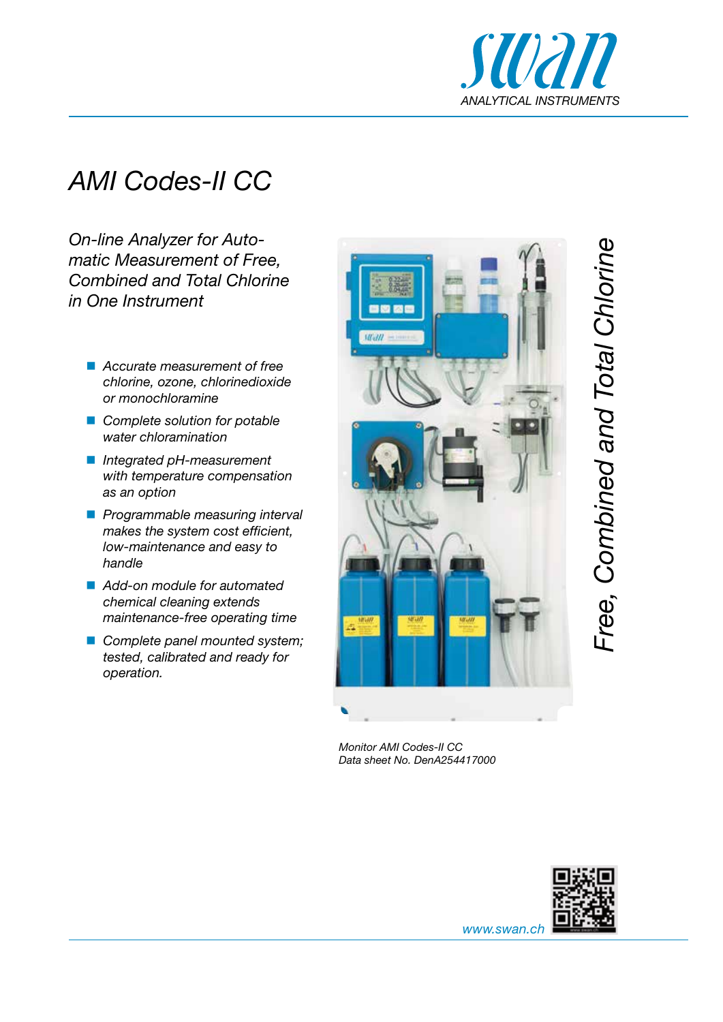

## *AMI Codes-II CC*

*On-line Analyzer for Automatic Measurement of Free, Combined and Total Chlorine in One Instrument*

- *Accurate measurement of free chlorine, ozone, chlorinedioxide or monochloramine*
- *Complete solution for potable water chloramination*
- *Integrated pH-measurement with temperature compensation as an option*
- *Programmable measuring interval makes the system cost efficient, low-maintenance and easy to handle*
- *Add-on module for automated chemical cleaning extends maintenance-free operating time*
- *Complete panel mounted system; tested, calibrated and ready for operation.*



*Monitor AMI Codes-II CC Data sheet No. DenA254417000*



*Free, Combined and Total Chlorine*

Free, Combined and Total Chlorine

*www.swan.ch*